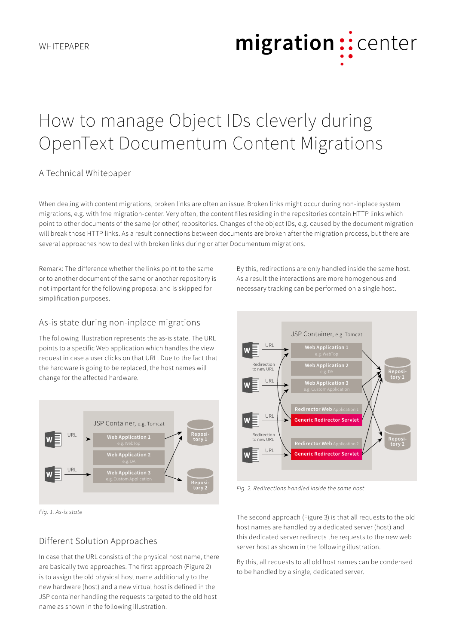# migration:: center

## How to manage Object IDs cleverly during OpenText Documentum Content Migrations

#### A Technical Whitepaper

When dealing with content migrations, broken links are often an issue. Broken links might occur during non-inplace system migrations, e.g. with fme migration-center. Very often, the content files residing in the repositories contain HTTP links which point to other documents of the same (or other) repositories. Changes of the object IDs, e.g. caused by the document migration will break those HTTP links. As a result connections between documents are broken after the migration process, but there are several approaches how to deal with broken links during or after Documentum migrations.

Remark: The difference whether the links point to the same or to another document of the same or another repository is not important for the following proposal and is skipped for simplification purposes.

As-is state during non-inplace migrations

The following illustration represents the as-is state. The URL points to a specific Web application which handles the view request in case a user clicks on that URL. Due to the fact that the hardware is going to be replaced, the host names will change for the affected hardware.



*Fig. 1. As-is state*

### Different Solution Approaches

In case that the URL consists of the physical host name, there are basically two approaches. The first approach (Figure 2) is to assign the old physical host name additionally to the new hardware (host) and a new virtual host is defined in the JSP container handling the requests targeted to the old host name as shown in the following illustration.

By this, redirections are only handled inside the same host. As a result the interactions are more homogenous and necessary tracking can be performed on a single host.



*Fig. 2. Redirections handled inside the same host*

The second approach (Figure 3) is that all requests to the old host names are handled by a dedicated server (host) and this dedicated server redirects the requests to the new web server host as shown in the following illustration.

By this, all requests to all old host names can be condensed to be handled by a single, dedicated server.